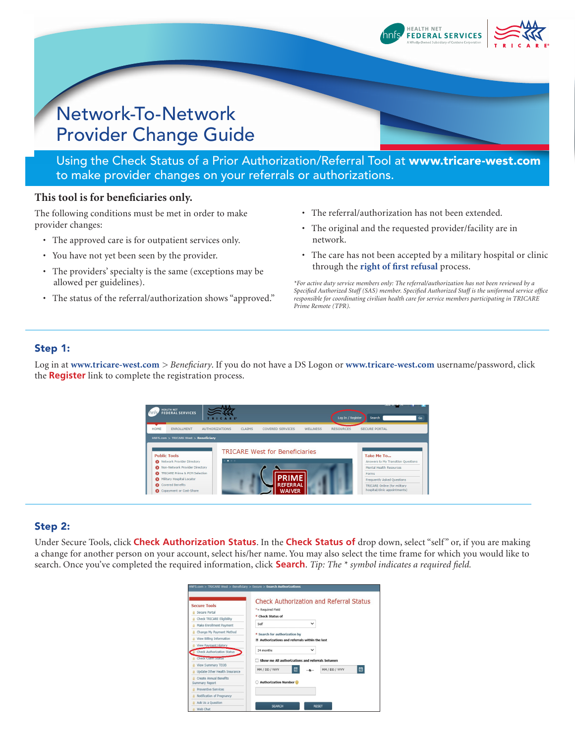

# Network-To-Network Provider Change Guide

Using the Check Status of a Prior Authorization/Referral Tool at www.tricare-west.com to make provider changes on your referrals or authorizations.

## **This tool is for beneficiaries only.**

The following conditions must be met in order to make provider changes:

- The approved care is for outpatient services only.
- You have not yet been seen by the provider.
- The providers' specialty is the same (exceptions may be allowed per guidelines).
- The status of the referral/authorization shows "approved."
- The referral/authorization has not been extended.
- The original and the requested provider/facility are in network.
- The care has not been accepted by a military hospital or clinic through the **[right of first refusal](https://www.tricare-west.com/content/hnfs/home/tw/prov/auth/rofr.html)** process.

*\*For active duty service members only: The referral/authorization has not been reviewed by a Specified Authorized Staff (SAS) member. Specified Authorized Staff is the uniformed service office responsible for coordinating civilian health care for service members participating in TRICARE Prime Remote (TPR).*

## Step 1:

Log in at **www.tricare-west.com** *> Beneficiary*. If you do not have a DS Logon or **www.tricare-west.com** username/password, click the **Register** link to complete the registration process.



## Step 2:

Under Secure Tools, click **Check Authorization Status**. In the **Check Status of** drop down, select "self " or, if you are making a change for another person on your account, select his/her name. You may also select the time frame for which you would like to search. Once you've completed the required information, click **Search**. *Tip: The \* symbol indicates a required field.*

| <b>Secure Tools</b><br>Secure Portal<br><b>Check TRICARE Eligibility</b> | *= Required Field<br><b>Check Status of</b><br>٠                              |              | <b>Check Authorization and Referral Status</b> |
|--------------------------------------------------------------------------|-------------------------------------------------------------------------------|--------------|------------------------------------------------|
| Make Enrollment Payment                                                  | Self                                                                          | $\checkmark$ |                                                |
| Change My Payment Method                                                 |                                                                               |              |                                                |
| View Billing Information                                                 | * Search for authorization by<br>Authorizations and referrals within the last |              |                                                |
| View Payment History                                                     |                                                                               |              |                                                |
| <b>Check Authorization Status</b>                                        | 24 months                                                                     | v            |                                                |
| <b>Grank enumbers</b>                                                    | Show me All authorizations and referrals between                              |              |                                                |
| <b>View Summary TEOB</b>                                                 |                                                                               |              |                                                |
| Update Other Health Insurance                                            | MM / DD / YYYY                                                                | 畐            | ▣<br>MM / DD / YYYY                            |
| <b>Create Annual Benefits</b><br>Summary Report                          | <b>Authorization Number</b>                                                   |              |                                                |
| Preventive Services                                                      |                                                                               |              |                                                |
| Notification of Pregnancy                                                |                                                                               |              |                                                |
| Ask Us a Ouestion                                                        |                                                                               |              |                                                |
| the state of the state of the                                            | <b>SEARCH</b>                                                                 |              | <b>RESET</b>                                   |